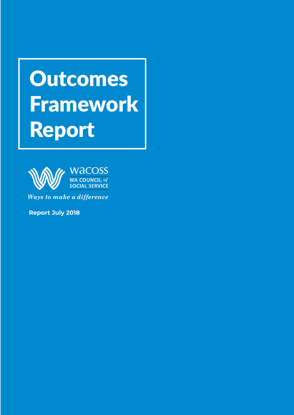# Outcomes **Framework** Report



Ways to make a difference

**Report July 2018**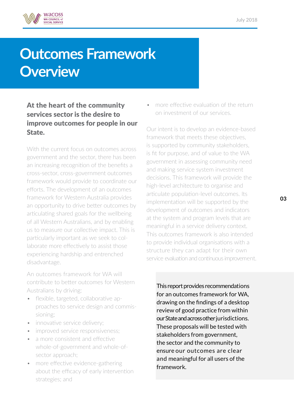

# **Outcomes Framework Overview**

#### At the heart of the community services sector is the desire to improve outcomes for people in our State.

With the current focus on outcomes across government and the sector, there has been an increasing recognition of the benefits a cross-sector, cross-government outcomes framework would provide to coordinate our efforts. The development of an outcomes framework for Western Australia provides an opportunity to drive better outcomes by articulating shared goals for the wellbeing of all Western Australians, and by enabling us to measure our collective impact. This is particularly important as we seek to collaborate more effectively to assist those experiencing hardship and entrenched disadvantage.

An outcomes framework for WA will contribute to better outcomes for Western Australians by driving:

- flexible, targeted, collaborative approaches to service design and commissioning;
- innovative service delivery;
- improved service responsiveness;
- a more consistent and effective whole-of-government and whole-ofsector approach;
- more effective evidence-gathering about the efficacy of early intervention strategies; and

• more effective evaluation of the return on investment of our services.

Our intent is to develop an evidence-based framework that meets these objectives, is supported by community stakeholders, is fit for purpose, and of value to the WA government in assessing community need and making service system investment decisions. This framework will provide the high-level architecture to organise and articulate population-level outcomes. Its implementation will be supported by the development of outcomes and indicators at the system and program levels that are meaningful in a service delivery context. This outcomes framework is also intended to provide individual organisations with a structure they can adapt for their own service evaluation and continuous improvement.

This report provides recommendations for an outcomes framework for WA, drawing on the findings of a desktop review of good practice from within our State and across other jurisdictions. These proposals will be tested with stakeholders from government, the sector and the community to ensure our outcomes are clear and meaningful for all users of the framework.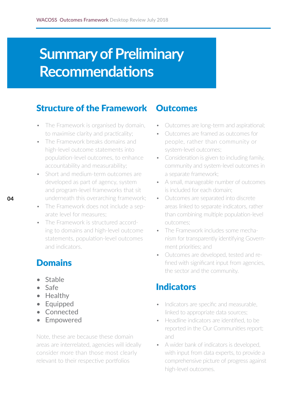# **Summary of Preliminary Recommendations**

#### Structure of the Framework

- The Framework is organised by domain, to maximise clarity and practicality;
- The Framework breaks domains and high-level outcome statements into population-level outcomes, to enhance accountability and measurability;
- Short and medium-term outcomes are developed as part of agency, system and program-level frameworks that sit underneath this overarching framework;
- The Framework does not include a separate level for measures;
- The Framework is structured according to domains and high-level outcome statements, population-level outcomes and indicators.

#### **Domains**

- Stable
- Safe
- Healthy
- Equipped
- Connected
- Empowered

Note, these are because these domain areas are interrelated, agencies will ideally consider more than those most clearly relevant to their respective portfolios

#### **Outcomes**

- Outcomes are long-term and aspirational;
- Outcomes are framed as outcomes for people, rather than community or system-level outcomes;
- Consideration is given to including family, community and system-level outcomes in a separate framework;
- A small, manageable number of outcomes is included for each domain;
- Outcomes are separated into discrete areas linked to separate indicators, rather than combining multiple population-level outcomes;
- The Framework includes some mechanism for transparently identifying Government priorities; and
- Outcomes are developed, tested and refined with significant input from agencies, the sector and the community.

#### Indicators

- Indicators are specific and measurable, linked to appropriate data sources;
- Headline indicators are identified, to be reported in the Our Communities report; and
- A wider bank of indicators is developed, with input from data experts, to provide a comprehensive picture of progress against high-level outcomes.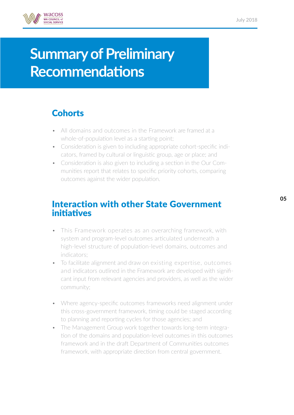

# **Summary of Preliminary Recommendations**

### **Cohorts**

- All domains and outcomes in the Framework are framed at a whole-of-population level as a starting point;
- Consideration is given to including appropriate cohort-specific indicators, framed by cultural or linguistic group, age or place; and
- Consideration is also given to including a section in the Our Communities report that relates to specific priority cohorts, comparing outcomes against the wider population.

#### Interaction with other State Government initiatives

- This Framework operates as an overarching framework, with system and program-level outcomes articulated underneath a high-level structure of population-level domains, outcomes and indicators;
- To facilitate alignment and draw on existing expertise, outcomes and indicators outlined in the Framework are developed with significant input from relevant agencies and providers, as well as the wider community;
- Where agency-specific outcomes frameworks need alignment under this cross-government framework, timing could be staged according to planning and reporting cycles for those agencies; and
- The Management Group work together towards long-term integration of the domains and population-level outcomes in this outcomes framework and in the draft Department of Communities outcomes framework, with appropriate direction from central government.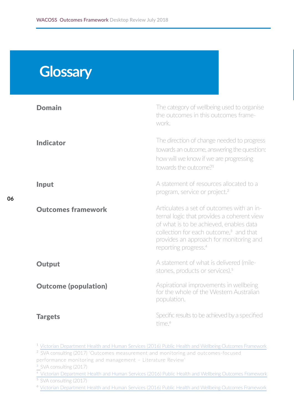## **Glossary**

**06**

| <b>Domain</b>               | The category of wellbeing used to organise<br>the outcomes in this outcomes frame-<br>work.                                                                                                                                                                             |
|-----------------------------|-------------------------------------------------------------------------------------------------------------------------------------------------------------------------------------------------------------------------------------------------------------------------|
| <b>Indicator</b>            | The direction of change needed to progress<br>towards an outcome, answering the question:<br>how will we know if we are progressing<br>towards the outcome <sup>21</sup>                                                                                                |
| Input                       | A statement of resources allocated to a<br>program, service or project. <sup>2</sup>                                                                                                                                                                                    |
| <b>Outcomes framework</b>   | Articulates a set of outcomes with an in-<br>ternal logic that provides a coherent view<br>of what is to be achieved, enables data<br>collection for each outcome, <sup>3</sup> and that<br>provides an approach for monitoring and<br>reporting progress. <sup>4</sup> |
| <b>Output</b>               | A statement of what is delivered (mile-<br>stones, products or services). <sup>5</sup>                                                                                                                                                                                  |
| <b>Outcome (population)</b> | Aspirational improvements in wellbeing<br>for the whole of the Western Australian<br>population.                                                                                                                                                                        |
| <b>Targets</b>              | Specific results to be achieved by a specified<br>time. <sup>6</sup>                                                                                                                                                                                                    |

1 [Victorian Department Health and Human Services \(2016\) Public Health and Wellbeing Outcomes Framework](https://www2.health.vic.gov.au/about/publications/policiesandguidelines/victorian-public-health-and-wellbeing-outcomes-framework)

<sup>2</sup> SVA consulting (2017) 'Outcomes measurement and monitoring and outcomes-focused [performance monitoring and management – Literature Review'](http:// SVA consulting (2017) ‘Outcomes measurement and monitoring and outcomes-focused performance monitor)

<sup>3</sup> [SVA consulting \(2017\)](http://SVA consulting (2017))

4 [Victorian Department Health and Human Services \(2016\) Public Health and Wellbeing Outcomes Framework](https://www2.health.vic.gov.au/about/publications/policiesandguidelines/victorian-public-health-and-wellbeing-outcomes-framework)

 $\frac{1}{5}$  [SVA consulting \(2017\)](http://SVA consulting (2017))

6 [Victorian Department Health and Human Services \(2016\) Public Health and Wellbeing Outcomes Framework](https://www2.health.vic.gov.au/about/publications/policiesandguidelines/victorian-public-health-and-wellbeing-outcomes-framework)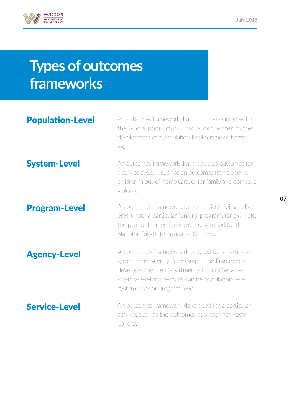

# **Types of outcomes frameworks**

#### Population-Level System-Level Program-Level Agency-Level Service-Level An outcomes framework that articulates outcomes for the whole population. This report relates to the development of a population-level outcomes framework. An outcomes framework that articulates outcomes for a service system, such as an outcomes framework for children in out-of-home care, or for family and domestic violence. An outcomes framework for all services being delivered under a particular funding program, for example, the pilot outcomes framework developed for the National Disability Insurance Scheme. An outcomes framework developed for a particular government agency, for example, the Framework developed by the Department of Social Services. Agency-level frameworks can be population-level, system-level or program-level. An outcomes framework developed for a particular service, such as the outcomes approach for Foyer Oxford.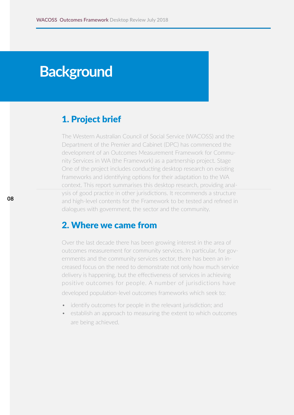## **Background**

#### 1. Project brief

The Western Australian Council of Social Service (WACOSS) and the Department of the Premier and Cabinet (DPC) has commenced the development of an Outcomes Measurement Framework for Community Services in WA (the Framework) as a partnership project. Stage One of the project includes conducting desktop research on existing frameworks and identifying options for their adaptation to the WA context. This report summarises this desktop research, providing analysis of good practice in other jurisdictions. It recommends a structure and high-level contents for the Framework to be tested and refined in dialogues with government, the sector and the community.

#### 2. Where we came from

Over the last decade there has been growing interest in the area of outcomes measurement for community services. In particular, for governments and the community services sector, there has been an increased focus on the need to demonstrate not only how much service delivery is happening, but the effectiveness of services in achieving positive outcomes for people. A number of jurisdictions have

developed population-level outcomes frameworks which seek to:

- identify outcomes for people in the relevant jurisdiction; and
- establish an approach to measuring the extent to which outcomes are being achieved.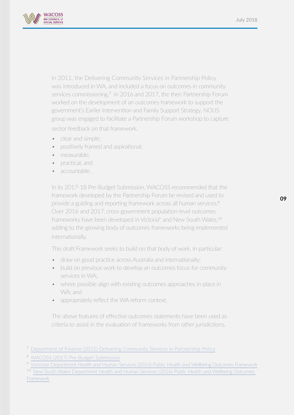

In 2011, the Delivering Community Services in Partnership Policy was introduced in WA, and included a focus on outcomes in community services commissioning.<sup>7</sup> In 2016 and 2017, the then Partnership Forum worked on the development of an outcomes framework to support the government's Earlier Intervention and Family Support Strategy. NOUS group was engaged to facilitate a Partnership Forum workshop to capture

sector feedback on that framework.

- clear and simple:
- positively framed and aspirational;
- measurable:
- practical; and
- accountable.

In its 2017-18 Pre-Budget Submission, WACOSS recommended that the framework developed by the Partnership Forum be revised and used to provide a guiding and reporting framework across all human services.<sup>8</sup> Over 2016 and 2017, cross-government population-level outcomes frameworks have been developed in Victoria<sup>9</sup> and New South Wales,<sup>10</sup> adding to the growing body of outcomes frameworks being implemented internationally.

This draft Framework seeks to build on that body of work. In particular:

- draw on good practice across Australia and internationally;
- build on previous work to develop an outcomes focus for community services in WA;
- where possible align with existing outcomes approaches in place in WA; and
- appropriately reflect the WA reform context.

The above features of effective outcomes statements have been used as criteria to assist in the evaluation of frameworks from other jurisdictions.

<sup>10</sup> New South Wales [Department Health and Human Services \(2016\) Public Health and](https://www.facs.nsw.gov.au/resources/human-services-outcomes-framework) Wellbeing Outcomes [Framework](https://www.facs.nsw.gov.au/resources/human-services-outcomes-framework)

<sup>7</sup> [Department of Finance \(2011\) Delivering Community Services in Partnership Policy](https://www.finance.wa.gov.au/cms/Government_Procurement/Policies/Delivering_Community_Services_in_Partnership.aspx)

<sup>8</sup> [WACOSS \(2017\) Pre-Budget Submission](http://wacoss.org.au/wp-content/uploads/2017/06/WACOSS-2017-18-PBS-Web.pdf)

<sup>9</sup> [Victorian Department Health and Human Services \(2016\) Public Health and Wellbeing Outcomes Framework](https://www2.health.vic.gov.au/about/publications/policiesandguidelines/victorian-public-health-and-wellbeing-outcomes-framework)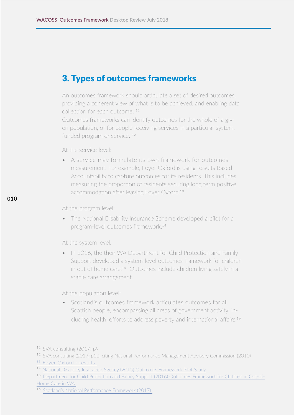#### 3. Types of outcomes frameworks

An outcomes framework should articulate a set of desired outcomes, providing a coherent view of what is to be achieved, and enabling data collection for each outcome. 11

Outcomes frameworks can identify outcomes for the whole of a given population, or for people receiving services in a particular system, funded program or service.<sup>12</sup>

At the service level:

• A service may formulate its own framework for outcomes measurement. For example, Foyer Oxford is using Results Based Accountability to capture outcomes for its residents. This includes measuring the proportion of residents securing long term positive accommodation after leaving Foyer Oxford.<sup>13</sup>

At the program level:

**010**

• The National Disability Insurance Scheme developed a pilot for a program-level outcomes framework.14

At the system level:

• In 2016, the then WA Department for Child Protection and Family Support developed a system-level outcomes framework for children in out of home care.<sup>15</sup> Outcomes include children living safely in a stable care arrangement.

At the population level:

• Scotland's outcomes framework articulates outcomes for all Scottish people, encompassing all areas of government activity, including health, efforts to address poverty and international affairs.16

<sup>&</sup>lt;sup>11</sup> [SVA consulting \(2017\) p9](http://SVA consulting (2017) p9)

<sup>12</sup>[SVA consulting \(2017\) p10, citing National Performance Management Advisory Commission \(2010\)](http://SVA consulting (2017) p10, citing National Performance Management Advisory Commission (2010))

<sup>13</sup> [Foyer Oxford - results](http://www.foyeroxford.org.au/about/results) 

<sup>14</sup> [National Disability Insurance Agency \(2015\) Outcomes Framework Pilot Study](https://www.ndis.gov.au/document/outcomes-framework-pilot)

<sup>15</sup>[Department for Child Protection and Family Support \(2016\) Outcomes Framework for Children in Out-of-](https://www.dcp.wa.gov.au/ChildrenInCare/Documents/Outcomes Framework for Children in OOHC in WA 2015-16 Baseline Indicator.pdf)[Home Care in WA](https://www.dcp.wa.gov.au/ChildrenInCare/Documents/Outcomes Framework for Children in OOHC in WA 2015-16 Baseline Indicator.pdf) 

<sup>16</sup>[Scotland's National Performance Framework \(2017\)](http://nationalperformance.gov.scot/)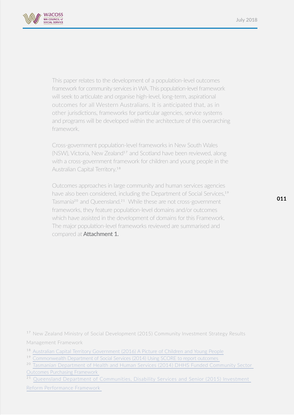

This paper relates to the development of a population-level outcomes framework for community services in WA. This population-level framework will seek to articulate and organise high-level, long-term, aspirational outcomes for all Western Australians. It is anticipated that, as in other jurisdictions, frameworks for particular agencies, service systems and programs will be developed within the architecture of this overarching framework.

Cross-government population-level frameworks in New South Wales (NSW), Victoria, New Zealand<sup>17</sup> and Scotland have been reviewed, along with a cross-government framework for children and young people in the Australian Capital Territory.18

Outcomes approaches in large community and human services agencies have also been considered, including the Department of Social Services,<sup>19</sup> Tasmania<sup>20</sup> and Queensland.<sup>21</sup> While these are not cross-government frameworks, they feature population-level domains and/or outcomes which have assisted in the development of domains for this Framework. The major population-level frameworks reviewed are summarised and compared at **Attachment 1.** 

<sup>17</sup> New Zealand Ministry of Social Development (2015) Community Investment Strategy Results [Management Framework](http://New Zealand Ministry of Social Development (2015) Community Investment Strategy Results Management F)

- 18 [Australian Capital Territory Government \(2016\) A Picture of Children and Young People](https://www.children.act.gov.au/data-indicators)
- 19 [Commonwealth Department of Social Services \(2014\) Using SCORE to report outcomes](https://www.dss.gov.au/grants/programme-reporting/using-score-to-report-outcomes)
- <sup>20</sup> Tasmanian Department of Health and Human Services (2014) DHHS Funded Community Sector Out[comes Purchasing Framework](https://www.dhhs.tas.gov.au/__data/assets/pdf_file/0013/161005/DHHS_Funded_Community_Sector_Outcomes_Purchasing_Framework_Final.pdf)

<sup>21</sup> [Queensland Department of Communities, Disability Services and Senior \(2015\) Investment](https://www.communities.qld.gov.au/industry-partners/funding-grants/outcomes-co-design)

[Reform Performance Framework](https://www.communities.qld.gov.au/industry-partners/funding-grants/outcomes-co-design)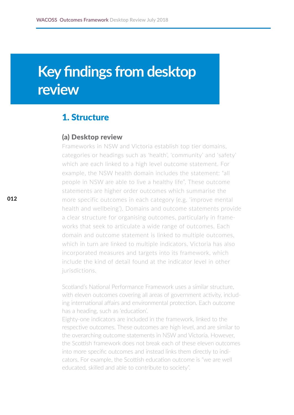# **Key findings from desktop review**

#### 1. Structure

#### (a) Desktop review

Frameworks in NSW and Victoria establish top tier domains, categories or headings such as 'health', 'community' and 'safety' which are each linked to a high level outcome statement. For example, the NSW health domain includes the statement: "all people in NSW are able to live a healthy life". These outcome statements are higher order outcomes which summarise the more specific outcomes in each category (e.g. 'improve mental health and wellbeing'). Domains and outcome statements provide a clear structure for organising outcomes, particularly in frameworks that seek to articulate a wide range of outcomes. Each domain and outcome statement is linked to multiple outcomes, which in turn are linked to multiple indicators. Victoria has also incorporated measures and targets into its framework, which include the kind of detail found at the indicator level in other jurisdictions.

Scotland's National Performance Framework uses a similar structure, with eleven outcomes covering all areas of government activity, including international affairs and environmental protection. Each outcome has a heading, such as 'education'.

Eighty-one indicators are included in the framework, linked to the respective outcomes. These outcomes are high level, and are similar to the overarching outcome statements in NSW and Victoria. However, the Scottish framework does not break each of these eleven outcomes into more specific outcomes and instead links them directly to indicators. For example, the Scottish education outcome is "we are well educated, skilled and able to contribute to society".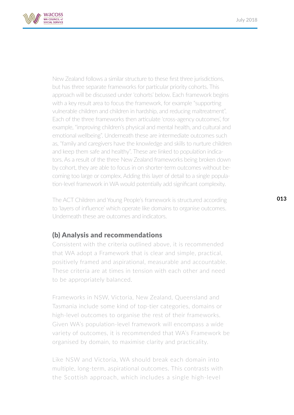

New Zealand follows a similar structure to these first three jurisdictions, but has three separate frameworks for particular priority cohorts. This approach will be discussed under 'cohorts' below. Each framework begins with a key result area to focus the framework, for example "supporting vulnerable children and children in hardship, and reducing maltreatment". Each of the three frameworks then articulate 'cross-agency outcomes', for example, "improving children's physical and mental health, and cultural and emotional wellbeing". Underneath these are intermediate outcomes such as, "family and caregivers have the knowledge and skills to nurture children and keep them safe and healthy". These are linked to population indicators. As a result of the three New Zealand frameworks being broken down by cohort, they are able to focus in on shorter-term outcomes without becoming too large or complex. Adding this layer of detail to a single population-level framework in WA would potentially add significant complexity.

The ACT Children and Young People's framework is structured according to 'layers of influence' which operate like domains to organise outcomes. Underneath these are outcomes and indicators.

#### (b) Analysis and recommendations

Consistent with the criteria outlined above, it is recommended that WA adopt a Framework that is clear and simple, practical, positively framed and aspirational, measurable and accountable. These criteria are at times in tension with each other and need to be appropriately balanced.

Frameworks in NSW, Victoria, New Zealand, Queensland and Tasmania include some kind of top-tier categories, domains or high-level outcomes to organise the rest of their frameworks. Given WA's population-level framework will encompass a wide variety of outcomes, it is recommended that WA's Framework be organised by domain, to maximise clarity and practicality.

Like NSW and Victoria, WA should break each domain into multiple, long-term, aspirational outcomes. This contrasts with the Scottish approach, which includes a single high-level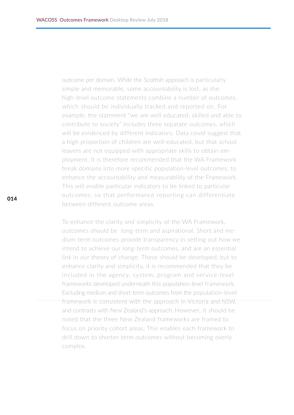outcome per domain. While the Scottish approach is particularly simple and memorable, some accountability is lost, as the high-level outcome statements combine a number of outcomes, which should be individually tracked and reported on. For example, the statement "we are well educated, skilled and able to contribute to society" includes three separate outcomes, which will be evidenced by different indicators. Data could suggest that a high proportion of children are well-educated, but that school leavers are not equipped with appropriate skills to obtain employment. It is therefore recommended that the WA Framework break domains into more specific population-level outcomes, to enhance the accountability and measurability of the Framework. This will enable particular indicators to be linked to particular outcomes, so that performance reporting can differentiate between different outcome areas.

To enhance the clarity and simplicity of the WA Framework, outcomes should be long-term and aspirational. Short and medium-term outcomes provide transparency in setting out how we intend to achieve our long-term outcomes, and are an essential link in our theory of change. These should be developed, but to enhance clarity and simplicity, it is recommended that they be included in the agency, system, program and service-level frameworks developed underneath this population-level framework. Excluding medium and short-term outcomes from the population-level framework is consistent with the approach in Victoria and NSW, and contrasts with New Zealand's approach. However, it should be noted that the three New Zealand frameworks are framed to focus on priority cohort areas. This enables each framework to drill down to shorter-term outcomes without becoming overly complex.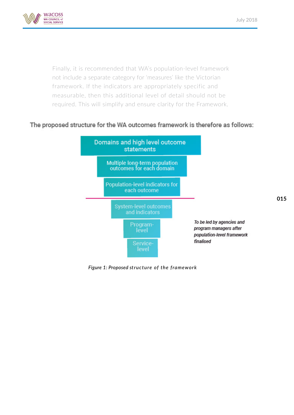

Finally, it is recommended that WA's population-level framework not include a separate category for 'measures' like the Victorian framework. If the indicators are appropriately specific and measurable, then this additional level of detail should not be required. This will simplify and ensure clarity for the Framework.

#### The proposed structure for the WA outcomes framework is therefore as follows:



*Figure 1: Proposed structure of the framework*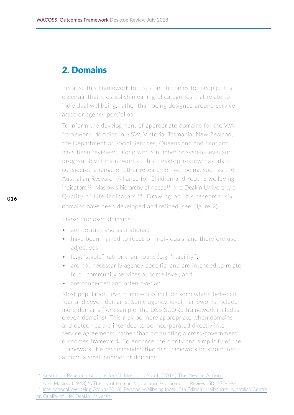#### 2. Domains

Because this Framework focuses on outcomes for people, it is essential that it establish meaningful categories that relate to individual wellbeing, rather than being designed around service areas or agency portfolios.

To inform the development of appropriate domains for the WA framework, domains in NSW, Victoria, Tasmania, New Zealand, the Department of Social Services, Queensland and Scotland have been reviewed, along with a number of system-level and program-level frameworks. This desktop review has also considered a range of other research on wellbeing, such as the Australian Research Alliance for Children and Youth's wellbeing indicators,<sup>22</sup> Maslow's hierarchy of needs<sup>23</sup> and Deakin University's Quality of Life indicators.24 Drawing on this research, six domains have been developed and refined (see Figure 2).

These proposed domains:

- are positive and aspirational;
- have been framed to focus on individuals, and therefore use adjectives
- (e.g. 'stable') rather than nouns (e.g. 'stability');
- are not necessarily agency-specific, and are intended to relate to all community services at some level; and
- are connected and often overlap.

Most population-level frameworks include somewhere between four and seven domains. Some agency-level frameworks include more domains (for example, the DSS SCORE framework includes eleven domains). This may be more appropriate when domains and outcomes are intended to be incorporated directly into service agreements, rather than articulating a cross-government outcomes framework. To enhance the clarity and simplicity of the Framework, it is recommended that this Framework be structured around a small number of domains.

<sup>&</sup>lt;sup>22</sup> Australian Research Alliance for Children and Youth (2014) The Nest In Action

<sup>&</sup>lt;sup>23</sup> [A.H. Maslow \(1943\) 'A Theory of Human Motivation' Psychological Review, 50, 370-396.](http://A.H. Maslow (1943) ‘A Theory of Human Motivation’ Psychological Review, 50, 370-396.)

<sup>24</sup> [International Wellbeing Group \(2013\) 'Personal Wellbeing Index: 5th Edition'. Melbourne: Australian Centre](http://www.acqol.com.au/uploads/pwi-a/pwi-a-english.pdf)  [on Quality of Life, Deakin University](http://www.acqol.com.au/uploads/pwi-a/pwi-a-english.pdf)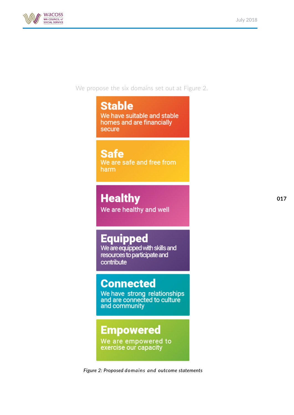

We propose the six domains set out at Figure 2.

### **Stable**

We have suitable and stable homes and are financially secure

### **Safe**

We are safe and free from harm

### **Healthy**

We are healthy and well

### **Equipped**

We are equipped with skills and resources to participate and contribute

### **Connected**

We have strong relationships<br>and are connected to culture and community

### **Empowered**

We are empowered to exercise our capacity

*Figure 2: Proposed domains and outcome statements*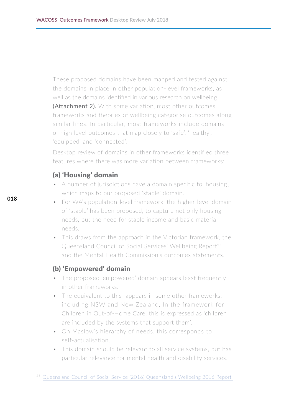These proposed domains have been mapped and tested against the domains in place in other population-level frameworks, as well as the domains identified in various research on wellbeing **(Attachment 2).** With some variation, most other outcomes frameworks and theories of wellbeing categorise outcomes along similar lines. In particular, most frameworks include domains or high level outcomes that map closely to 'safe', 'healthy', 'equipped' and 'connected'.

Desktop review of domains in other frameworks identified three features where there was more variation between frameworks:

#### (a) 'Housing' domain

- A number of jurisdictions have a domain specific to 'housing', which maps to our proposed 'stable' domain.
- For WA's population-level framework, the higher-level domain of 'stable' has been proposed, to capture not only housing needs, but the need for stable income and basic material needs.
- This draws from the approach in the Victorian framework, the Queensland Council of Social Services' Wellbeing Report<sup>25</sup> and the Mental Health Commission's outcomes statements.

#### (b) 'Empowered' domain

- The proposed 'empowered' domain appears least frequently in other frameworks.
- The equivalent to this appears in some other frameworks, including NSW and New Zealand. In the framework for Children in Out-of-Home Care, this is expressed as 'children are included by the systems that support them'.
- On Maslow's hierarchy of needs, this corresponds to self-actualisation.
- This domain should be relevant to all service systems, but has particular relevance for mental health and disability services.

<sup>&</sup>lt;sup>25</sup> Queensland Council of Social Service (2016) Queensland's Wellbeing 2016 Report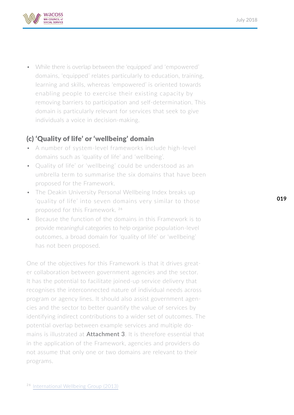

• While there is overlap between the 'equipped' and 'empowered' domains, 'equipped' relates particularly to education, training, learning and skills, whereas 'empowered' is oriented towards enabling people to exercise their existing capacity by removing barriers to participation and self-determination. This domain is particularly relevant for services that seek to give individuals a voice in decision-making.

#### (c) 'Quality of life' or 'wellbeing' domain

- A number of system-level frameworks include high-level domains such as 'quality of life' and 'wellbeing'.
- Quality of life' or 'wellbeing' could be understood as an umbrella term to summarise the six domains that have been proposed for the Framework.
- The Deakin University Personal Wellbeing Index breaks up 'quality of life' into seven domains very similar to those proposed for this Framework. 26
- Because the function of the domains in this Framework is to provide meaningful categories to help organise population-level outcomes, a broad domain for 'quality of life' or 'wellbeing' has not been proposed.

One of the objectives for this Framework is that it drives greater collaboration between government agencies and the sector. It has the potential to facilitate joined-up service delivery that recognises the interconnected nature of individual needs across program or agency lines. It should also assist government agencies and the sector to better quantify the value of services by identifying indirect contributions to a wider set of outcomes. The potential overlap between example services and multiple domains is illustrated at **Attachment 3**. It is therefore essential that in the application of the Framework, agencies and providers do not assume that only one or two domains are relevant to their programs.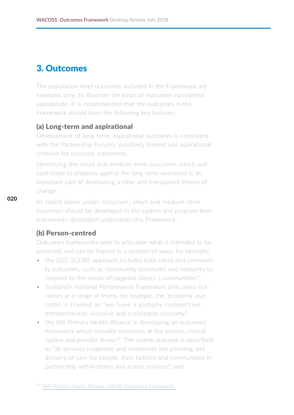#### 3. Outcomes

The population-level outcomes included in the Framework are examples only, to illustrate the kinds of outcomes considered appropriate. It is recommended that the outcomes in the Framework should have the following key features:

#### (a) Long-term and aspirational

Development of long-term, aspirational outcomes is consistent with the Partnership Forum's 'positively framed and aspirational' criterion for outcome statements.

Identifying the short and medium-term outcomes which will contribute to progress against the long-term outcomes is an important part of developing a clear and transparent theory of change.

As noted above under 'structure', short and medium-term outcomes should be developed in the system and program-level frameworks developed underneath this Framework.

#### (b) Person-centred

Outcomes frameworks seek to articulate what is intended to be achieved, and can be framed in a number of ways, for example:

- the DSS' SCORE approach includes both client and community outcomes, such as "community structures and networks to respond to the needs of targeted clients / communities";
- Scotland's National Performance Framework articulates outcomes at a range of levels, for example, the 'economy' outcome is framed as "we have a globally competitive, entrepreneurial, inclusive and sustainable economy";
- the WA Primary Health Alliance is developing an outcomes framework which includes outcomes at the person, clinical, system and provider levels.<sup>27</sup> The system outcome is described as "all services cooperate and coordinate the planning and delivery of care for people, their families and communities in partnership within teams and across services"; and

<sup>27</sup> [WA Primary Health Alliance \(2018\) Outcomes Framewor](https://www.wapha.org.au/commissioning-flexible-funding/outcomes-framework/)k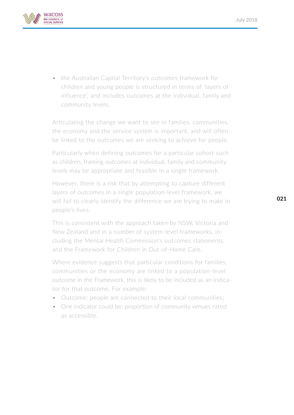

• the Australian Capital Territory's outcomes framework for children and young people is structured in terms of 'layers of influence', and includes outcomes at the individual, family and community levels.

Articulating the change we want to see in families, communities, the economy and the service system is important, and will often be linked to the outcomes we are seeking to achieve for people.

Particularly when defining outcomes for a particular cohort such as children, framing outcomes at individual, family and community levels may be appropriate and feasible in a single framework.

However, there is a risk that by attempting to capture different layers of outcomes in a single population-level framework, we will fail to clearly identify the difference we are trying to make in people's lives.

This is consistent with the approach taken by NSW, Victoria and New Zealand and in a number of system-level frameworks, including the Mental Health Commission's outcomes statements, and the Framework for Children in Out-of-Home Care.

Where evidence suggests that particular conditions for families, communities or the economy are linked to a population-level outcome in the Framework, this is likely to be included as an indicator for that outcome. For example:

- Outcome: people are connected to their local communities;
- One indicator could be: proportion of community venues rated as accessible.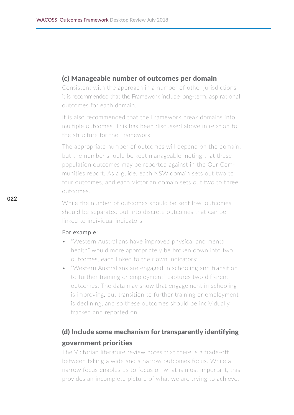#### (c) Manageable number of outcomes per domain

Consistent with the approach in a number of other jurisdictions, it is recommended that the Framework include long-term, aspirational outcomes for each domain.

It is also recommended that the Framework break domains into multiple outcomes. This has been discussed above in relation to the structure for the Framework.

The appropriate number of outcomes will depend on the domain, but the number should be kept manageable, noting that these population outcomes may be reported against in the Our Communities report. As a guide, each NSW domain sets out two to four outcomes, and each Victorian domain sets out two to three outcomes.

While the number of outcomes should be kept low, outcomes should be separated out into discrete outcomes that can be linked to individual indicators.

#### For example:

- "Western Australians have improved physical and mental health" would more appropriately be broken down into two outcomes, each linked to their own indicators;
- "Western Australians are engaged in schooling and transition to further training or employment" captures two different outcomes. The data may show that engagement in schooling is improving, but transition to further training or employment is declining, and so these outcomes should be individually tracked and reported on.

#### (d) Include some mechanism for transparently identifying government priorities

The Victorian literature review notes that there is a trade-off between taking a wide and a narrow outcomes focus. While a narrow focus enables us to focus on what is most important, this provides an incomplete picture of what we are trying to achieve.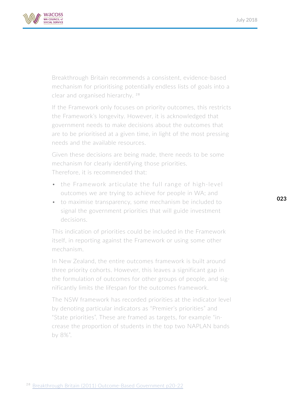

Breakthrough Britain recommends a consistent, evidence-based mechanism for prioritising potentially endless lists of goals into a clear and organised hierarchy. 28

If the Framework only focuses on priority outcomes, this restricts the Framework's longevity. However, it is acknowledged that government needs to make decisions about the outcomes that are to be prioritised at a given time, in light of the most pressing needs and the available resources.

Given these decisions are being made, there needs to be some mechanism for clearly identifying those priorities. Therefore, it is recommended that:

- the Framework articulate the full range of high-level outcomes we are trying to achieve for people in WA; and
- to maximise transparency, some mechanism be included to signal the government priorities that will guide investment decisions.

This indication of priorities could be included in the Framework itself, in reporting against the Framework or using some other mechanism.

In New Zealand, the entire outcomes framework is built around three priority cohorts. However, this leaves a significant gap in the formulation of outcomes for other groups of people, and significantly limits the lifespan for the outcomes framework.

The NSW framework has recorded priorities at the indicator level by denoting particular indicators as "Premier's priorities" and "State priorities". These are framed as targets, for example "increase the proportion of students in the top two NAPLAN bands by 8%".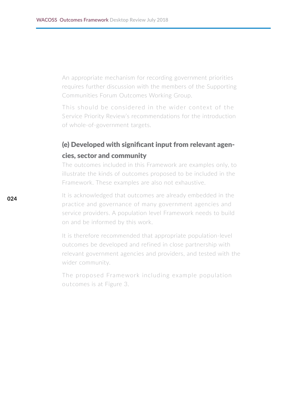An appropriate mechanism for recording government priorities requires further discussion with the members of the Supporting Communities Forum Outcomes Working Group.

This should be considered in the wider context of the Service Priority Review's recommendations for the introduction of whole-of-government targets.

#### (e) Developed with significant input from relevant agencies, sector and community

The outcomes included in this Framework are examples only, to illustrate the kinds of outcomes proposed to be included in the Framework. These examples are also not exhaustive.

It is acknowledged that outcomes are already embedded in the practice and governance of many government agencies and service providers. A population level Framework needs to build on and be informed by this work.

It is therefore recommended that appropriate population-level outcomes be developed and refined in close partnership with relevant government agencies and providers, and tested with the wider community.

The proposed Framework including example population outcomes is at Figure 3.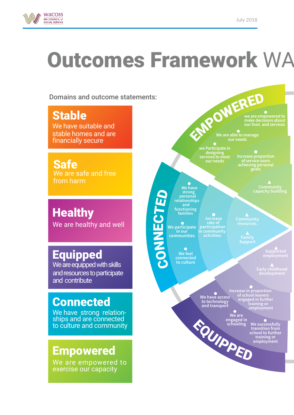

# **Outcomes Framework WA**

Domains and outcome statements:

**Stable** We have suitable and stable homes and are financially secure

Safe We are safe and free from harm

**Healthy** We are healthy and well

### **Equipped**

We are equipped with skills and resources to participate and contribute

### **Connected**

We have strong relation-<br>ships and are connected to culture and community

### Empowered

We are empowered to exercise our capacity

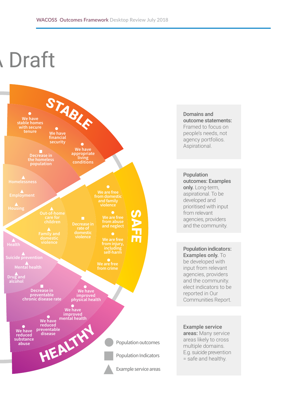# **Draft**



Domains and outcome statements: Framed to focus on people's needs, not agency portfolios. Aspirational.

Population outcomes: Examples only. Long-term. aspirational. To be developed and prioritised with input from relevant agencies, providers and the community.

Population indicators: Examples only. To be developed with input from relevant agencies, providers and the community. elect indicators to be reported in Our Communities Report.

Example service areas: Many service areas likely to cross multiple domains. E.g. suicide prevention = safe and healthy.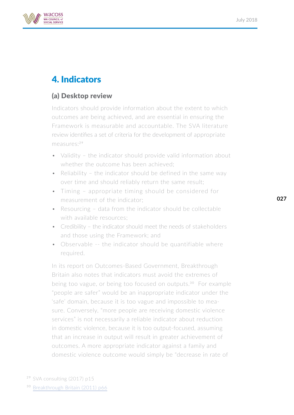

### 4. Indicators

#### (a) Desktop review

Indicators should provide information about the extent to which outcomes are being achieved, and are essential in ensuring the Framework is measurable and accountable. The SVA literature review identifies a set of criteria for the development of appropriate measures:29

- Validity the indicator should provide valid information about whether the outcome has been achieved;
- Reliability the indicator should be defined in the same way over time and should reliably return the same result;
- Timing appropriate timing should be considered for measurement of the indicator;
- Resourcing data from the indicator should be collectable with available resources;
- Credibility the indicator should meet the needs of stakeholders and those using the Framework; and
- Observable -- the indicator should be quantifiable where required.

In its report on Outcomes-Based Government, Breakthrough Britain also notes that indicators must avoid the extremes of being too vague, or being too focused on outputs.<sup>30</sup> For example "people are safer" would be an inappropriate indicator under the 'safe' domain, because it is too vague and impossible to measure. Conversely, "more people are receiving domestic violence services" is not necessarily a reliable indicator about reduction in domestic violence, because it is too output-focused, assuming that an increase in output will result in greater achievement of outcomes. A more appropriate indicator against a family and domestic violence outcome would simply be "decrease in rate of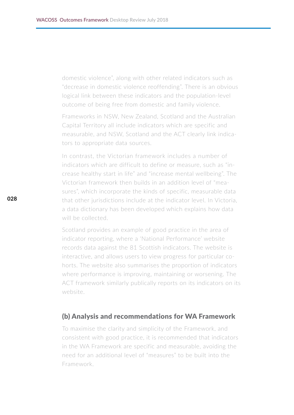domestic violence", along with other related indicators such as "decrease in domestic violence reoffending". There is an obvious logical link between these indicators and the population-level outcome of being free from domestic and family violence.

Frameworks in NSW, New Zealand, Scotland and the Australian Capital Territory all include indicators which are specific and measurable, and NSW, Scotland and the ACT clearly link indicators to appropriate data sources.

In contrast, the Victorian framework includes a number of indicators which are difficult to define or measure, such as "increase healthy start in life" and "increase mental wellbeing". The Victorian framework then builds in an addition level of "measures", which incorporate the kinds of specific, measurable data that other jurisdictions include at the indicator level. In Victoria, a data dictionary has been developed which explains how data will be collected.

Scotland provides an example of good practice in the area of indicator reporting, where a 'National Performance' website records data against the 81 Scottish indicators. The website is interactive, and allows users to view progress for particular cohorts. The website also summarises the proportion of indicators where performance is improving, maintaining or worsening. The ACT framework similarly publically reports on its indicators on its website.

#### (b) Analysis and recommendations for WA Framework

To maximise the clarity and simplicity of the Framework, and consistent with good practice, it is recommended that indicators in the WA Framework are specific and measurable, avoiding the need for an additional level of "measures" to be built into the Framework.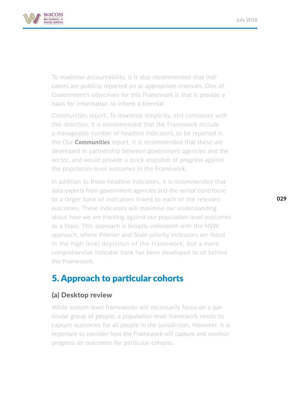

To maximise accountability, it is also recommended that indicators are publicly reported on at appropriate intervals. One of Government's objectives for this Framework is that it provide a basis for information to inform a biennial

Communities report. To maximise simplicity, and consistent with this direction, it is recommended that the Framework include a manageable number of headline indicators, to be reported in the Our *Communities* report. It is recommended that these are developed in partnership between government agencies and the sector, and would provide a quick snapshot of progress against the population-level outcomes in the Framework.

In addition to these headline indicators, it is recommended that data experts from government agencies and the sector contribute to a larger bank of indicators linked to each of the relevant outcomes. These indicators will maximise our understanding about how we are tracking against our population-level outcomes as a State. This approach is broadly consistent with the NSW approach, where Premier and State priority indicators are listed in the high level depiction of the framework, but a more comprehensive indicator bank has been developed to sit behind the Framework.

#### 5. Approach to particular cohorts

#### (a) Desktop review

While system-level frameworks will necessarily focus on a particular group of people, a population-level framework needs to capture outcomes for all people in the jurisdiction. However, it is important to consider how the Framework will capture and monitor progress on outcomes for particular cohorts.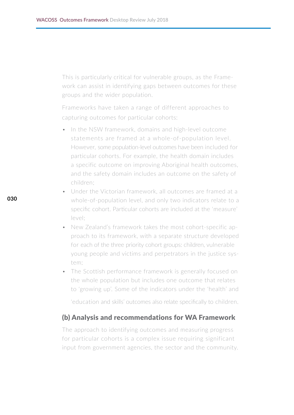This is particularly critical for vulnerable groups, as the Framework can assist in identifying gaps between outcomes for these groups and the wider population.

Frameworks have taken a range of different approaches to capturing outcomes for particular cohorts:

- In the NSW framework, domains and high-level outcome statements are framed at a whole-of-population level. However, some population-level outcomes have been included for particular cohorts. For example, the health domain includes a specific outcome on improving Aboriginal health outcomes, and the safety domain includes an outcome on the safety of children;
- Under the Victorian framework, all outcomes are framed at a whole-of-population level, and only two indicators relate to a specific cohort. Particular cohorts are included at the 'measure' level;
- New Zealand's framework takes the most cohort-specific approach to its framework, with a separate structure developed for each of the three priority cohort groups: children, vulnerable young people and victims and perpetrators in the justice system;
- The Scottish performance framework is generally focused on the whole population but includes one outcome that relates to 'growing up'. Some of the indicators under the 'health' and

'education and skills' outcomes also relate specifically to children.

#### (b) Analysis and recommendations for WA Framework

The approach to identifying outcomes and measuring progress for particular cohorts is a complex issue requiring significant input from government agencies, the sector and the community.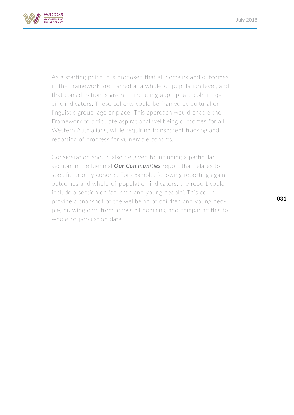

As a starting point, it is proposed that all domains and outcomes in the Framework are framed at a whole-of-population level, and that consideration is given to including appropriate cohort-specific indicators. These cohorts could be framed by cultural or linguistic group, age or place. This approach would enable the Framework to articulate aspirational wellbeing outcomes for all Western Australians, while requiring transparent tracking and reporting of progress for vulnerable cohorts.

Consideration should also be given to including a particular section in the biennial *Our Communities* report that relates to specific priority cohorts. For example, following reporting against outcomes and whole-of-population indicators, the report could include a section on 'children and young people'. This could provide a snapshot of the wellbeing of children and young people, drawing data from across all domains, and comparing this to whole-of-population data.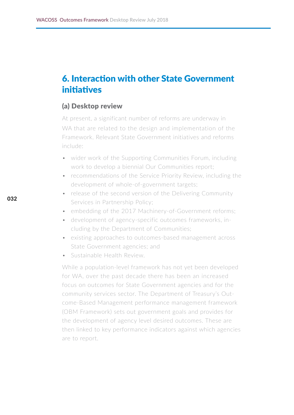#### 6. Interaction with other State Government initiatives

#### (a) Desktop review

At present, a significant number of reforms are underway in WA that are related to the design and implementation of the Framework. Relevant State Government initiatives and reforms include:

- wider work of the Supporting Communities Forum, including work to develop a biennial Our Communities report;
- recommendations of the Service Priority Review, including the development of whole-of-government targets;
- release of the second version of the Delivering Community Services in Partnership Policy;
- embedding of the 2017 Machinery-of-Government reforms;
- development of agency-specific outcomes frameworks, including by the Department of Communities;
- existing approaches to outcomes-based management across State Government agencies; and
- Sustainable Health Review.

While a population-level framework has not yet been developed for WA, over the past decade there has been an increased focus on outcomes for State Government agencies and for the community services sector. The Department of Treasury's Outcome-Based Management performance management framework (OBM Framework) sets out government goals and provides for the development of agency level desired outcomes. These are then linked to key performance indicators against which agencies are to report.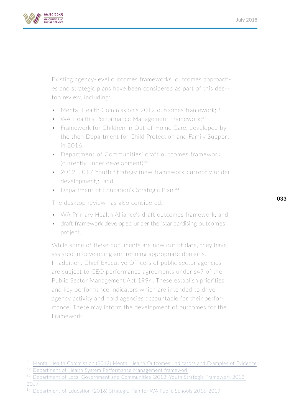

Existing agency-level outcomes frameworks, outcomes approaches and strategic plans have been considered as part of this desktop review, including:

- Mental Health Commission's 2012 outcomes framework;<sup>31</sup>
- WA Health's Performance Management Framework;<sup>32</sup>
- Framework for Children in Out-of-Home Care, developed by the then Department for Child Protection and Family Support in 2016;
- Department of Communities' draft outcomes framework (currently under development); $33$
- 2012-2017 Youth Strategy (new framework currently under development); and
- Department of Education's Strategic Plan.<sup>34</sup>

The desktop review has also considered:

- WA Primary Health Alliance's draft outcomes framework; and
- draft framework developed under the 'standardising outcomes' project.

While some of these documents are now out of date, they have assisted in developing and refining appropriate domains. In addition, Chief Executive Officers of public sector agencies are subject to CEO performance agreements under s47 of the Public Sector Management Act 1994. These establish priorities and key performance indicators which are intended to drive agency activity and hold agencies accountable for their performance. These may inform the development of outcomes for the Framework.

<sup>&</sup>lt;sup>31</sup> [Mental Health Commission \(2012\) Mental Health Outcomes: Indicators and](https://www.mhc.wa.gov.au/media/1662/mh-outcomes-indicators-and-examples-of-evidence-final.pdf) Examples of Evidence

<sup>&</sup>lt;sup>32</sup> [Department of Health System Performance Management framework](http://ww2.health.wa.gov.au/Our-performance/Frameworks-and-planning-documents)

<sup>&</sup>lt;sup>33</sup> [Department of Local Government and Communities \(2012\) Youth Strategic Framework 2012-](http://Department of Local Government and Communities (2012) Youth Strategic Framework 2012-2017 ) [2017](http://Department of Local Government and Communities (2012) Youth Strategic Framework 2012-2017 ) 

<sup>34</sup> [Department of Education \(2016\) Strategic Plan for WA Public Schools 2016-2019](http://\\server1\UserDocs\alison\Downloads\STRATEGIC PLAN FOR WA PUBLIC SCHOOLS 2016-2019.pdf)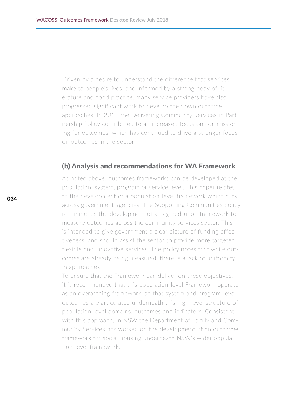Driven by a desire to understand the difference that services make to people's lives, and informed by a strong body of literature and good practice, many service providers have also progressed significant work to develop their own outcomes approaches. In 2011 the Delivering Community Services in Partnership Policy contributed to an increased focus on commissioning for outcomes, which has continued to drive a stronger focus on outcomes in the sector

#### (b) Analysis and recommendations for WA Framework

As noted above, outcomes frameworks can be developed at the population, system, program or service level. This paper relates to the development of a population-level framework which cuts across government agencies. The Supporting Communities policy recommends the development of an agreed-upon framework to measure outcomes across the community services sector. This is intended to give government a clear picture of funding effectiveness, and should assist the sector to provide more targeted, flexible and innovative services. The policy notes that while outcomes are already being measured, there is a lack of uniformity in approaches.

To ensure that the Framework can deliver on these objectives, it is recommended that this population-level Framework operate as an overarching framework, so that system and program-level outcomes are articulated underneath this high-level structure of population-level domains, outcomes and indicators. Consistent with this approach, in NSW the Department of Family and Community Services has worked on the development of an outcomes framework for social housing underneath NSW's wider population-level framework.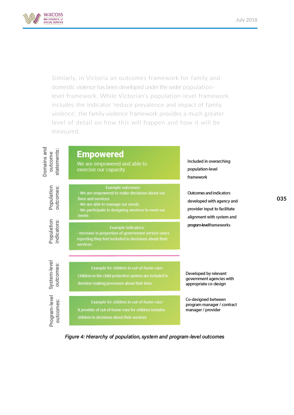

Similarly, in Victoria an outcomes framework for family and domestic violence has been developed under the wider populationlevel framework. While Victorian's population-level framework includes the indicator 'reduce prevalence and impact of family violence', the family violence framework provides a much greater level of detail on how this will happen and how it will be measured.



Figure 4: Hierarchy of population, system and program-level outcomes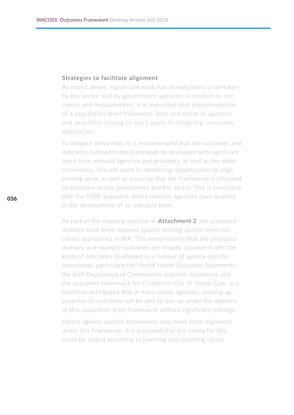#### Strategies to facilitate alignment

As noted above, significant work has already been undertaken by the sector and by government agencies in relation to outcomes and measurement. It is important that implementation of a population-level framework does not result in agencies and providers having to start again in designing outcomes approaches.

To mitigate these risks, it is recommended that the outcomes and indicators outlined in the Framework be developed with significant input from relevant agencies and providers, as well as the wider community. This will assist in identifying opportunities to align existing work, as well as ensuring that the Framework is informed by expertise across government and the sector. This is consistent with the NSW approach, where relevant agencies have assisted in the development of an indicator bank.

As part of the mapping exercise at **Attachment 2**, the proposed domains have been mapped against existing system-level outcomes approaches in WA. This demonstrates that the proposed domains and example outcomes are broadly consistent with the kinds of outcomes developed in a number of agency-specific frameworks, particularly the Mental Health Outcomes Statements, the draft Department of Communities outcome statements and the outcomes framework for Children in Out-of-Home Care. It is therefore anticipated that in many cases, agencies' existing approaches to outcomes will be able to line up under the domains of this population-level Framework without significant redesign.

Where agency-specific frameworks may need some alignment under this Framework, it is proposed that the timing for this could be staged according to planning and reporting cycles.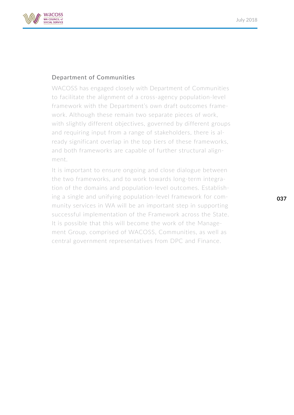

#### Department of Communities

WACOSS has engaged closely with Department of Communities to facilitate the alignment of a cross-agency population-level framework with the Department's own draft outcomes framework. Although these remain two separate pieces of work, with slightly different objectives, governed by different groups and requiring input from a range of stakeholders, there is already significant overlap in the top tiers of these frameworks, and both frameworks are capable of further structural alignment.

It is important to ensure ongoing and close dialogue between the two frameworks, and to work towards long-term integration of the domains and population-level outcomes. Establishing a single and unifying population-level framework for community services in WA will be an important step in supporting successful implementation of the Framework across the State. It is possible that this will become the work of the Management Group, comprised of WACOSS, Communities, as well as central government representatives from DPC and Finance.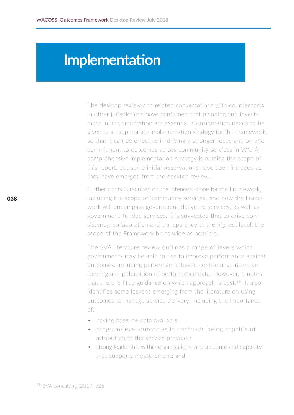## **Implementation**

The desktop review and related conversations with counterparts in other jurisdictions have confirmed that planning and investment in implementation are essential. Consideration needs to be given to an appropriate implementation strategy for the Framework, so that it can be effective in driving a stronger focus and on and commitment to outcomes across community services in WA. A comprehensive implementation strategy is outside the scope of this report, but some initial observations have been included as they have emerged from the desktop review.

Further clarity is required on the intended scope for the Framework, including the scope of 'community services', and how the Framework will encompass government-delivered services, as well as government-funded services. It is suggested that to drive consistency, collaboration and transparency at the highest level, the scope of the Framework be as wide as possible.

The SVA literature review outlines a range of levers which governments may be able to use to improve performance against outcomes, including performance-based contracting, incentive funding and publication of performance data. However, it notes that there is little guidance on which approach is best. $35$  It also identifies some lessons emerging from the literature on using outcomes to manage service delivery, including the importance of:

- having baseline data available;
- program-level outcomes in contracts being capable of attribution to the service provider;
- strong leadership within organisations, and a culture and capacity that supports measurement; and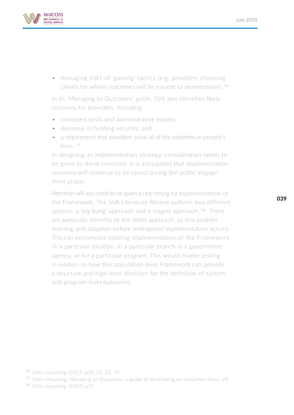

• managing risks of 'gaming' tactics (e.g. providers choosing clients for whom outcomes will be easiest to demonstrate). 36

In its 'Managing to Outcomes' guide, SVA also identifies likely concerns for providers, including:

- increased costs and administrative burden;
- decrease in funding security; and
- a requirement that providers solve all of the problems in people's lives.<sup>37</sup>

In designing an implementation strategy, consideration needs to be given to these concerns. It is anticipated that implementation concerns will continue to be raised during the public engagement phase.

Attention will also need to be given to the timing for implementation of the Framework. The SVA Literature Review outlines two different options: a 'big bang' approach and a staged approach. 38 There are particular benefits to the latter approach, as this enables learning and adaption before widespread implementation occurs. This can encompass piloting implementation of the Framework in a particular location, in a particular branch in a government agency, or for a particular program. This would enable testing in relation to how this population-level Framework can provide a structure and high-level direction for the definition of system and program-level outcomes.

<sup>37</sup> <SVA consulting, Managing to Outcomes: a guide to developing an outcomes focus, p9>

38 [SVA consulting \(2017\) p37](http://SVA consulting (2017) p37)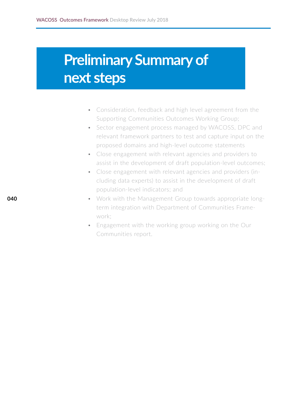# **Preliminary Summary of next steps**

- Consideration, feedback and high level agreement from the Supporting Communities Outcomes Working Group;
- Sector engagement process managed by WACOSS, DPC and relevant framework partners to test and capture input on the proposed domains and high-level outcome statements
- Close engagement with relevant agencies and providers to assist in the development of draft population-level outcomes;
- Close engagement with relevant agencies and providers (including data experts) to assist in the development of draft population-level indicators; and
- Work with the Management Group towards appropriate longterm integration with Department of Communities Framework;
- Engagement with the working group working on the Our Communities report.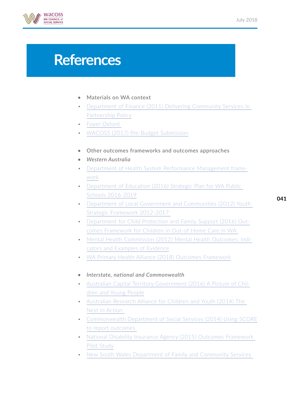

# **References**

#### • Materials on WA context

- [Department of Finance \(2011\) Delivering Community Services in](https://www.finance.wa.gov.au/cms/Government_Procurement/Policies/Delivering_Community_Services_in_Partnership.aspx)  [Partnership Policy](https://www.finance.wa.gov.au/cms/Government_Procurement/Policies/Delivering_Community_Services_in_Partnership.aspx)
- [Foyer Oxford](http://www.foyeroxford.org.au/about/results)
- [WACOSS \(2017\) Pre-Budget Submission](http://wacoss.org.au/wp-content/uploads/2017/06/WACOSS-2017-18-PBS-Web.pdf)
- Other outcomes frameworks and outcomes approaches
- *• Western Australia*
- [Department of Health System Performance Management frame](http://ww2.health.wa.gov.au/Our-performance/Frameworks-and-planning-documents)[work](http://ww2.health.wa.gov.au/Our-performance/Frameworks-and-planning-documents)
- [Department of Education \(2016\) Strategic Plan for WA Public](http://\\server1\UserDocs\alison\Downloads\STRATEGIC PLAN FOR WA PUBLIC SCHOOLS 2016-2019.pdf)  [Schools 2016-2019](http://\\server1\UserDocs\alison\Downloads\STRATEGIC PLAN FOR WA PUBLIC SCHOOLS 2016-2019.pdf)
- [Department of Local Government and Communities \(2012\) Youth](https://www.dlgc.wa.gov.au/Publications/Pages/Youth-Strategic-Framework.aspx)  [Strategic Framework 2012-2017](https://www.dlgc.wa.gov.au/Publications/Pages/Youth-Strategic-Framework.aspx) 
	-
- [Department for Child Protection and Family Support \(2016\) Out](http://Department for Child Protection and Family Support (2016) Outcomes Framework for Children in Out-of-Home Care in WA )[comes Framework for Children in Out-of-Home Care in WA](http://Department for Child Protection and Family Support (2016) Outcomes Framework for Children in Out-of-Home Care in WA )
- [Mental Health Commission \(2012\) Mental Health Outcomes: Indi](https://www.mhc.wa.gov.au/media/1662/mh-outcomes-indicators-and-examples-of-evidence-final.pdf)[cators and Examples of Evidence](https://www.mhc.wa.gov.au/media/1662/mh-outcomes-indicators-and-examples-of-evidence-final.pdf)
- [WA Primary Health Alliance \(2018\) Outcomes Framework](https://www.wapha.org.au/commissioning-flexible-funding/outcomes-framework/)
- *• Interstate, national and Commonwealth*
- [Australian Capital Territory Government \(2016\) A Picture of Chil](https://www.children.act.gov.au/data-indicators)[dren and Young People](https://www.children.act.gov.au/data-indicators)
- [Australian Research Alliance for Children and Youth \(2014\) The](https://www.aracy.org.au/publications-resources/command/download_file/id/301/filename/The-Nest-Operating-Principles-Priority-Directions-March-2014.pdf)  [Nest In Action](https://www.aracy.org.au/publications-resources/command/download_file/id/301/filename/The-Nest-Operating-Principles-Priority-Directions-March-2014.pdf)
- [Commonwealth Department of Social Services \(2014\) Using SCORE](https://www.dss.gov.au/grants/programme-reporting/using-score-to-report-outcomes) [to report outcomes](https://www.dss.gov.au/grants/programme-reporting/using-score-to-report-outcomes)
- [National Disability Insurance Agency \(2015\) Outcomes Framework](https://www.ndis.gov.au/document/outcomes-framework-pilot)  [Pilot Study](https://www.ndis.gov.au/document/outcomes-framework-pilot)
- [New South Wales Department of Family and Community Services](https://www.facs.nsw.gov.au/resources/human-services-outcomes-framework)